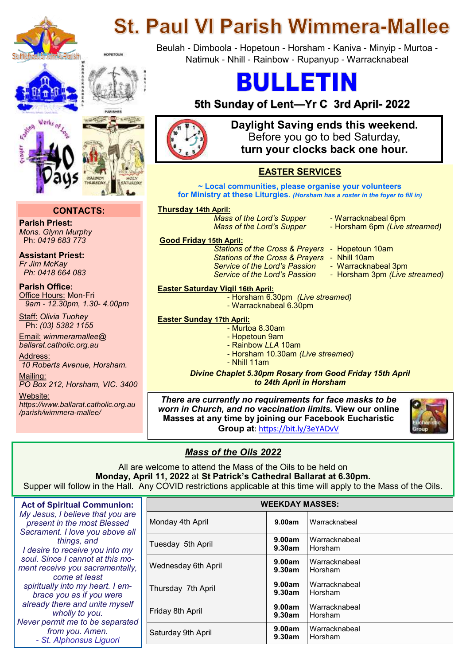

Works of Lo

# **St. Paul VI Parish Wimmera-Mallee**

Beulah - Dimboola - Hopetoun - Horsham - Kaniva - Minyip - Murtoa - Natimuk - Nhill - Rainbow - Rupanyup - Warracknabeal

# ILLETIN

# **5th Sunday of Lent—Yr C 3rd April- 2022**



**Daylight Saving ends this weekend.**  Before you go to bed Saturday, **turn your clocks back one hour.**

# **EASTER SERVICES**

**~ Local communities, please organise your volunteers for Ministry at these Liturgies.** *(Horsham has a roster in the foyer to fill in)*

## **Thursday 14th April:**

*Mass of the Lord's Supper* - Warracknabeal 6pm<br>*Mass of the Lord's Supper* - Horsham 6pm *(Live*)

*Mass of the Lord's Supper* - Horsham 6pm *(Live streamed)*

**Good Friday 15th April:**

*Stations of the Cross & Prayers* -Hopetoun 10am *Stations of the Cross & Prayers* -Nhill 10am *Service of the Lord's Passion Service of the Lord's Passion -* Horsham 3pm *(Live streamed)*

- -

# **Easter Saturday Vigil 16th April:**

- Horsham 6.30pm *(Live streamed)* - Warracknabeal 6.30pm

## **Easter Sunday 17th April:**

- Murtoa 8.30am
- Hopetoun 9am
- Rainbow *LLA* 10am
- Horsham 10.30am *(Live streamed)*
- Nhill 11am

*Divine Chaplet 5.30pm Rosary from Good Friday 15th April to 24th April in Horsham*

*There are currently no requirements for face masks to be worn in Church, and no vaccination limits.* **View our online Masses at any time by joining our Facebook Eucharistic Group at**: https://bit.ly/3eYADvV



# *Mass of the Oils 2022*

All are welcome to attend the Mass of the Oils to be held on **Monday, April 11, 2022** at **St Patrick's Cathedral Ballarat at 6.30pm.**  Supper will follow in the Hall. Any COVID restrictions applicable at this time will apply to the Mass of the Oils.

## **Act of Spiritual Communion:**

*My Jesus, I believe that you are present in the most Blessed Sacrament. I love you above all things, and I desire to receive you into my soul. Since I cannot at this moment receive you sacramentally, come at least spiritually into my heart. I embrace you as if you were already there and unite myself wholly to you. Never permit me to be separated from you. Amen. - St. Alphonsus Liguori*

| <b>WEEKDAY MASSES:</b> |                  |                          |  |  |  |  |
|------------------------|------------------|--------------------------|--|--|--|--|
| Monday 4th April       | 9.00am           | Warracknabeal            |  |  |  |  |
| Tuesday 5th April      | 9.00am<br>9.30am | Warracknabeal<br>Horsham |  |  |  |  |
| Wednesday 6th April    | 9.00am<br>9.30am | Warracknabeal<br>Horsham |  |  |  |  |
| Thursday 7th April     | 9.00am<br>9.30am | Warracknabeal<br>Horsham |  |  |  |  |
| Friday 8th April       | 9.00am<br>9.30am | Warracknabeal<br>Horsham |  |  |  |  |
| Saturday 9th April     | 9.00am<br>9.30am | Warracknabeal<br>Horsham |  |  |  |  |

**MONEYCLIN** 

#### **CONTACTS:**

**Parish Priest:**  *Mons. Glynn Murphy* Ph: *0419 683 773*

**Assistant Priest:**  *Fr Jim McKay Ph: 0418 664 083*

**Parish Office:**  Office Hours: Mon-Fri *9am - 12.30pm, 1.30- 4.00pm*

Staff: *Olivia Tuohey* Ph: *(03) 5382 1155*

Email: *wimmeramallee@ ballarat.catholic.org.au*

Address: *10 Roberts Avenue, Horsham.*

Mailing: *PO Box 212, Horsham, VIC. 3400*

Website: *https://www.ballarat.catholic.org.au /parish/wimmera-mallee/*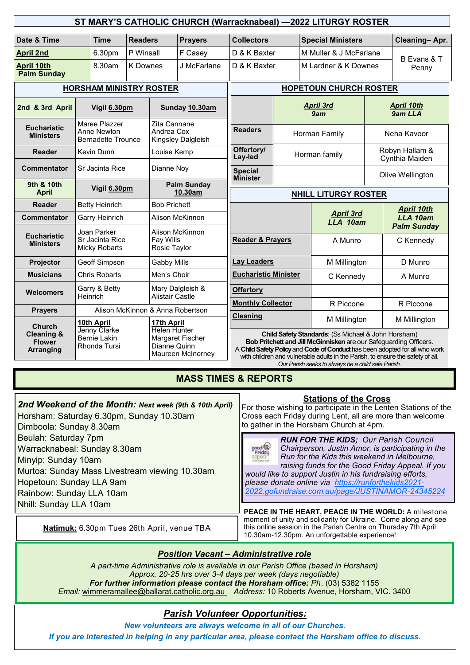|                                                            | 31 MANT 3 CATHOLIC CHUNCH (Wallachilabeal) —2022 LITUNGT NOSTEN |                                                           |                                                                                            |                                                  |                                                                                                                                                                                                                                                                                            |                                   |                             |                              |                              |                                  |                                |  |
|------------------------------------------------------------|-----------------------------------------------------------------|-----------------------------------------------------------|--------------------------------------------------------------------------------------------|--------------------------------------------------|--------------------------------------------------------------------------------------------------------------------------------------------------------------------------------------------------------------------------------------------------------------------------------------------|-----------------------------------|-----------------------------|------------------------------|------------------------------|----------------------------------|--------------------------------|--|
| Date & Time                                                |                                                                 | <b>Time</b><br><b>Readers</b>                             |                                                                                            | <b>Prayers</b>                                   | <b>Collectors</b>                                                                                                                                                                                                                                                                          |                                   | <b>Special Ministers</b>    |                              |                              | Cleaning-Apr.                    |                                |  |
| <b>April 2nd</b>                                           |                                                                 | 6.30pm                                                    | P Winsall                                                                                  |                                                  | F Casey                                                                                                                                                                                                                                                                                    | D & K Baxter                      |                             | M Muller & J McFarlane       |                              |                                  |                                |  |
| <b>April 10th</b><br><b>Palm Sunday</b>                    |                                                                 | 8.30am                                                    | <b>K</b> Downes                                                                            |                                                  | J McFarlane                                                                                                                                                                                                                                                                                | D & K Baxter                      |                             | M Lardner & K Downes         |                              |                                  | B Evans & T<br>Penny           |  |
| <b>HORSHAM MINISTRY ROSTER</b>                             |                                                                 |                                                           | <b>HOPETOUN CHURCH ROSTER</b>                                                              |                                                  |                                                                                                                                                                                                                                                                                            |                                   |                             |                              |                              |                                  |                                |  |
| 2nd & 3rd April                                            | Vigil 6.30pm                                                    |                                                           | Sunday 10.30am                                                                             |                                                  |                                                                                                                                                                                                                                                                                            | <b>April 3rd</b><br>9am           |                             | <b>April 10th</b><br>9am LLA |                              |                                  |                                |  |
| <b>Eucharistic</b><br><b>Ministers</b>                     |                                                                 | Maree Plazzer<br>Anne Newton<br><b>Bernadette Trounce</b> |                                                                                            | Zita Cannane<br>Andrea Cox<br>Kingsley Dalgleish |                                                                                                                                                                                                                                                                                            | <b>Readers</b>                    |                             | Horman Family                |                              | Neha Kavoor                      |                                |  |
| <b>Reader</b>                                              |                                                                 | Kevin Dunn                                                |                                                                                            | Louise Kemp                                      |                                                                                                                                                                                                                                                                                            | Offertory/<br>Lay-led             |                             | Horman family                |                              | Robyn Hallam &<br>Cynthia Maiden |                                |  |
| Commentator                                                |                                                                 | Sr Jacinta Rice                                           |                                                                                            | Dianne Noy                                       |                                                                                                                                                                                                                                                                                            | <b>Special</b><br><b>Minister</b> |                             |                              | Olive Wellington             |                                  |                                |  |
| 9th & 10th<br><b>April</b>                                 |                                                                 | Vigil 6.30pm                                              |                                                                                            | <b>Palm Sunday</b><br>10.30am                    |                                                                                                                                                                                                                                                                                            |                                   | <b>NHILL LITURGY ROSTER</b> |                              |                              |                                  |                                |  |
| <b>Reader</b>                                              |                                                                 | <b>Betty Heinrich</b>                                     |                                                                                            | <b>Bob Prichett</b>                              |                                                                                                                                                                                                                                                                                            |                                   |                             |                              |                              |                                  | <b>April 10th</b>              |  |
| <b>Commentator</b>                                         |                                                                 | Garry Heinrich                                            |                                                                                            | Alison McKinnon                                  |                                                                                                                                                                                                                                                                                            |                                   |                             |                              | <b>April 3rd</b><br>LLA 10am |                                  | LLA 10am<br><b>Palm Sunday</b> |  |
| <b>Eucharistic</b><br><b>Ministers</b>                     |                                                                 | Joan Parker<br>Sr Jacinta Rice<br><b>Micky Robarts</b>    |                                                                                            | Fay Wills<br>Rosie Taylor                        | <b>Alison McKinnon</b>                                                                                                                                                                                                                                                                     | <b>Reader &amp; Prayers</b>       |                             | A Munro                      |                              |                                  | C Kennedy                      |  |
| Projector                                                  |                                                                 | Geoff Simpson                                             |                                                                                            | <b>Gabby Mills</b>                               |                                                                                                                                                                                                                                                                                            | <b>Lay Leaders</b>                |                             |                              | M Millington                 |                                  | D Munro                        |  |
| <b>Musicians</b>                                           |                                                                 | <b>Chris Robarts</b>                                      |                                                                                            | Men's Choir                                      |                                                                                                                                                                                                                                                                                            | <b>Eucharistic Minister</b>       |                             |                              | C Kennedy                    |                                  | A Munro                        |  |
| <b>Welcomers</b>                                           | Heinrich                                                        | Garry & Betty                                             |                                                                                            | Mary Dalgleish &<br>Alistair Castle              |                                                                                                                                                                                                                                                                                            | <b>Offertory</b>                  |                             |                              |                              |                                  |                                |  |
| <b>Prayers</b>                                             |                                                                 |                                                           | Alison McKinnon & Anna Robertson                                                           |                                                  | <b>Monthly Collector</b>                                                                                                                                                                                                                                                                   |                                   |                             | R Piccone                    |                              | R Piccone                        |                                |  |
| 10th April<br><b>Church</b>                                |                                                                 |                                                           | 17th April<br><b>Helen Hunter</b><br>Margaret Fischer<br>Dianne Quinn<br>Maureen McInerney |                                                  | Cleaning                                                                                                                                                                                                                                                                                   |                                   |                             | M Millington                 |                              | M Millington                     |                                |  |
| <b>Cleaning &amp;</b><br><b>Flower</b><br><b>Arranging</b> | Jenny Clarke<br><b>Bernie Lakin</b><br>Rhonda Tursi             |                                                           |                                                                                            |                                                  | Child Safety Standards: (Ss Michael & John Horsham)<br>Bob Pritchett and Jill McGinnisken are our Safeguarding Officers.<br>A Child Safety Policy and Code of Conduct has been adopted for all who work<br>with children and vulnerable adults in the Parish, to ensure the safety of all. |                                   |                             |                              |                              |                                  |                                |  |

**ST MARY'S CATHOLIC CHURCH (Warracknabeal) —2022 LITURGY ROSTER** 

*Our Parish seeks to always be a child safe Parish.*

# **MASS TIMES & REPORTS**

*2nd Weekend of the Month: Next week (9th & 10th April)*

Horsham: Saturday 6.30pm, Sunday 10.30am

Murtoa: Sunday Mass Livestream viewing 10.30am

**Natimuk:** 6.30pm Tues 26th April, venue TBA

Dimboola: Sunday 8.30am Beulah: Saturday 7pm

Hopetoun: Sunday LLA 9am Rainbow: Sunday LLA 10am Nhill: Sunday LLA 10am

Minyip: Sunday 10am

Warracknabeal: Sunday 8.30am

#### **Stations of the Cross**

For those wishing to participate in the Lenten Stations of the Cross each Friday during Lent, all are more than welcome to gather in the Horsham Church at 4pm.

| <b>RUN FOR THE KIDS; Our Parish Council</b><br>Chairperson, Justin Amor, is participating in the<br>Run for the Kids this weekend in Melbourne, |
|-------------------------------------------------------------------------------------------------------------------------------------------------|
| raising funds for the Good Friday Appeal. If you                                                                                                |
| would like to support Justin in his fundraising efforts,                                                                                        |
| please donate online via https://runforthekids2021-<br>2022.gofundraise.com.au/page/JUSTINAMOR-24345224                                         |
|                                                                                                                                                 |

**PEACE IN THE HEART, PEACE IN THE WORLD:** A milestone moment of unity and solidarity for Ukraine. Come along and see this online session in the Parish Centre on Thursday 7th April 10.30am-12.30pm. An unforgettable experience!

# *Position Vacant – Administrative role*

*A part-time Administrative role is available in our Parish Office (based in Horsham) Approx. 20-25 hrs over 3-4 days per week (days negotiable) For further information please contact the Horsham office: Ph*. (03) 5382 1155 *Email:* wimmeramallee@ballarat.catholic.org.au *Address:* 10 Roberts Avenue, Horsham, VIC. 3400

# *Parish Volunteer Opportunities:*

*New volunteers are always welcome in all of our Churches.* 

*If you are interested in helping in any particular area, please contact the Horsham office to discuss.*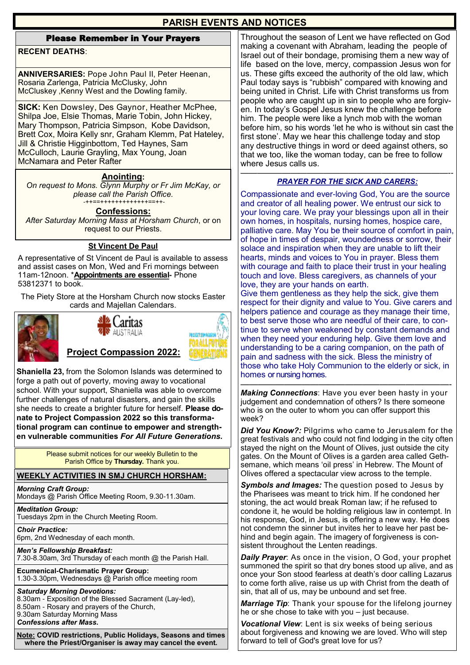# **PARISH EVENTS AND NOTICES**

# Please Remember in Your Prayers

**RECENT DEATHS**:

**ANNIVERSARIES:** Pope John Paul II, Peter Heenan, Rosaria Zarlenga, Patricia McClusky, John McCluskey ,Kenny West and the Dowling family.

**SICK:** Ken Dowsley, Des Gaynor, Heather McPhee, Shilpa Joe, Elsie Thomas, Marie Tobin, John Hickey, Mary Thompson, Patricia Simpson, Kobe Davidson, Brett Cox, Moira Kelly snr, Graham Klemm, Pat Hateley, Jill & Christie Higginbottom, Ted Haynes, Sam McCulloch, Laurie Grayling, Max Young, Joan McNamara and Peter Rafter

## **Anointing:**

*On request to Mons. Glynn Murphy or Fr Jim McKay, or please call the Parish Office.* -++==+++++++++++++==++-

## **Confessions:**

*After Saturday Morning Mass at Horsham Church*, or on request to our Priests.

## **St Vincent De Paul**

A representative of St Vincent de Paul is available to assess and assist cases on Mon, Wed and Fri mornings between 11am-12noon. \***Appointments are essential-** Phone 53812371 to book.

The Piety Store at the Horsham Church now stocks Easter cards and Majellan Calendars.



**Project Compassion 2022:**

**Shaniella 23,** from the Solomon Islands was determined to forge a path out of poverty, moving away to vocational school. With your support, Shaniella was able to overcome further challenges of natural disasters, and gain the skills she needs to create a brighter future for herself. **Please donate to Project Compassion 2022 so this transformational program can continue to empower and strengthen vulnerable communities** *For All Future Generations.* 

> Please submit notices for our weekly Bulletin to the Parish Office by **Thursday.** Thank you.

# **WEEKLY ACTIVITIES IN SMJ CHURCH HORSHAM:**

*Morning Craft Group:*

Mondays @ Parish Office Meeting Room, 9.30-11.30am.

*Meditation Group:* Tuesdays 2pm in the Church Meeting Room.

*Choir Practice:* 6pm, 2nd Wednesday of each month.

*Men's Fellowship Breakfast:*  7.30-8.30am, 3rd Thursday of each month @ the Parish Hall.

**Ecumenical-Charismatic Prayer Group:** 1.30-3.30pm, Wednesdays @ Parish office meeting room

*Saturday Morning Devotions:*

8.30am - Exposition of the Blessed Sacrament (Lay-led), 8.50am - Rosary and prayers of the Church,

9.30am Saturday Morning Mass

*Confessions after Mass.*

**Note: COVID restrictions, Public Holidays, Seasons and times where the Priest/Organiser is away may cancel the event.**

Throughout the season of Lent we have reflected on God making a covenant with Abraham, leading the people of Israel out of their bondage, promising them a new way of life based on the love, mercy, compassion Jesus won for us. These gifts exceed the authority of the old law, which Paul today says is "rubbish" compared with knowing and being united in Christ. Life with Christ transforms us from people who are caught up in sin to people who are forgiven. In today's Gospel Jesus knew the challenge before him. The people were like a lynch mob with the woman before him, so his words 'let he who is without sin cast the first stone'. May we hear this challenge today and stop any destructive things in word or deed against others, so that we too, like the woman today, can be free to follow where Jesus calls us.

#### —————————————————————————-- *PRAYER FOR THE SICK AND CARERS:*

Compassionate and ever-loving God, You are the source and creator of all healing power. We entrust our sick to your loving care. We pray your blessings upon all in their own homes, in hospitals, nursing homes, hospice care, palliative care. May You be their source of comfort in pain, of hope in times of despair, woundedness or sorrow, their solace and inspiration when they are unable to lift their hearts, minds and voices to You in prayer. Bless them with courage and faith to place their trust in your healing touch and love. Bless caregivers, as channels of your love, they are your hands on earth.

Give them gentleness as they help the sick, give them respect for their dignity and value to You. Give carers and helpers patience and courage as they manage their time, to best serve those who are needful of their care, to continue to serve when weakened by constant demands and when they need your enduring help. Give them love and understanding to be a caring companion, on the path of pain and sadness with the sick. Bless the ministry of those who take Holy Communion to the elderly or sick, in homes or nursing homes.

————————————————————————- *Making Connections*: Have you ever been hasty in your judgement and condemnation of others? Is there someone who is on the outer to whom you can offer support this week?

*Did You Know?:* Pilgrims who came to Jerusalem for the great festivals and who could not find lodging in the city often stayed the night on the Mount of Olives, just outside the city gates. On the Mount of Olives is a garden area called Gethsemane, which means 'oil press' in Hebrew. The Mount of Olives offered a spectacular view across to the temple.

*Symbols and Images:* The question posed to Jesus by the Pharisees was meant to trick him. If he condoned her stoning, the act would break Roman law; if he refused to condone it, he would be holding religious law in contempt. In his response, God, in Jesus, is offering a new way. He does not condemn the sinner but invites her to leave her past behind and begin again. The imagery of forgiveness is consistent throughout the Lenten readings.

*Daily Prayer*: As once in the vision, O God, your prophet summoned the spirit so that dry bones stood up alive, and as once your Son stood fearless at death's door calling Lazarus to come forth alive, raise us up with Christ from the death of sin, that all of us, may be unbound and set free.

*Marriage Tip*: Thank your spouse for the lifelong journey he or she chose to take with you – just because.

*Vocational View*: Lent is six weeks of being serious about forgiveness and knowing we are loved. Who will step forward to tell of God's great love for us?